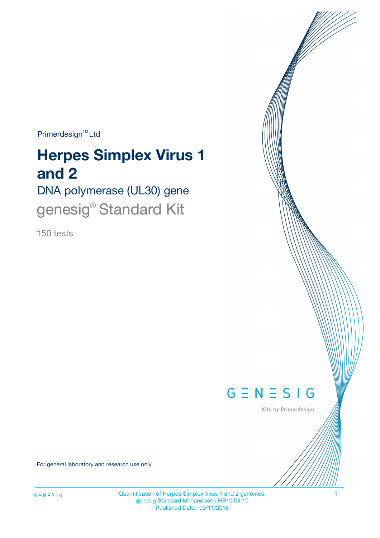Primerdesign<sup>™</sup>Ltd

# **Herpes Simplex Virus 1 and 2**

DNA polymerase (UL30) gene genesig<sup>®</sup> Standard Kit

150 tests



Kits by Primerdesign

For general laboratory and research use only

Quantification of Herpes Simplex Virus 1 and 2 genomes. 1 genesig Standard kit handbook HB10.04.10 Published Date: 09/11/2018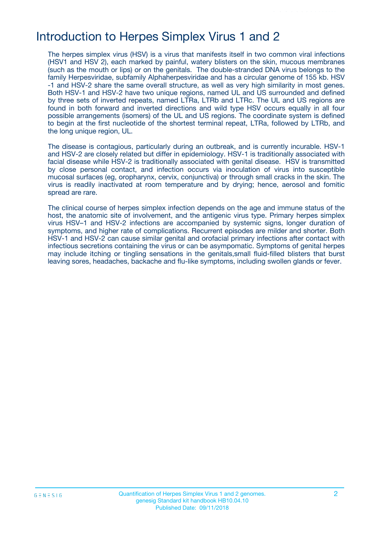## Introduction to Herpes Simplex Virus 1 and 2

The herpes simplex virus (HSV) is a virus that manifests itself in two common viral infections (HSV1 and HSV 2), each marked by painful, watery blisters on the skin, mucous membranes (such as the mouth or lips) or on the genitals. The double-stranded DNA virus belongs to the family Herpesviridae, subfamily Alphaherpesviridae and has a circular genome of 155 kb. HSV -1 and HSV-2 share the same overall structure, as well as very high similarity in most genes. Both HSV-1 and HSV-2 have two unique regions, named UL and US surrounded and defined by three sets of inverted repeats, named LTRa, LTRb and LTRc. The UL and US regions are found in both forward and inverted directions and wild type HSV occurs equally in all four possible arrangements (isomers) of the UL and US regions. The coordinate system is defined to begin at the first nucleotide of the shortest terminal repeat, LTRa, followed by LTRb, and the long unique region, UL.

The disease is contagious, particularly during an outbreak, and is currently incurable. HSV-1 and HSV-2 are closely related but differ in epidemiology. HSV-1 is traditionally associated with facial disease while HSV-2 is traditionally associated with genital disease. HSV is transmitted by close personal contact, and infection occurs via inoculation of virus into susceptible mucosal surfaces (eg, oropharynx, cervix, conjunctiva) or through small cracks in the skin. The virus is readily inactivated at room temperature and by drying; hence, aerosol and fomitic spread are rare.

The clinical course of herpes simplex infection depends on the age and immune status of the host, the anatomic site of involvement, and the antigenic virus type. Primary herpes simplex virus HSV–1 and HSV-2 infections are accompanied by systemic signs, longer duration of symptoms, and higher rate of complications. Recurrent episodes are milder and shorter. Both HSV-1 and HSV-2 can cause similar genital and orofacial primary infections after contact with infectious secretions containing the virus or can be asympomatic. Symptoms of genital herpes may include itching or tingling sensations in the genitals,small fluid-filled blisters that burst leaving sores, headaches, backache and flu-like symptoms, including swollen glands or fever.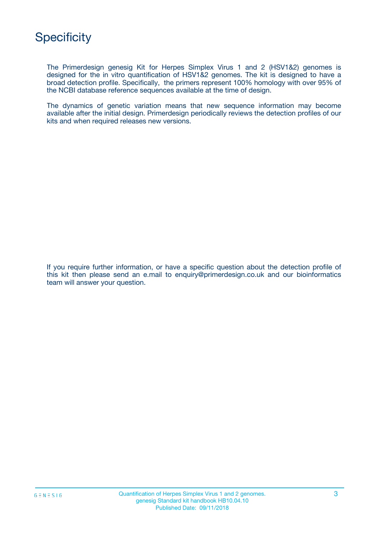The Primerdesign genesig Kit for Herpes Simplex Virus 1 and 2 (HSV1&2) genomes is designed for the in vitro quantification of HSV1&2 genomes. The kit is designed to have a broad detection profile. Specifically, the primers represent 100% homology with over 95% of the NCBI database reference sequences available at the time of design.

The dynamics of genetic variation means that new sequence information may become available after the initial design. Primerdesign periodically reviews the detection profiles of our kits and when required releases new versions.

If you require further information, or have a specific question about the detection profile of this kit then please send an e.mail to enquiry@primerdesign.co.uk and our bioinformatics team will answer your question.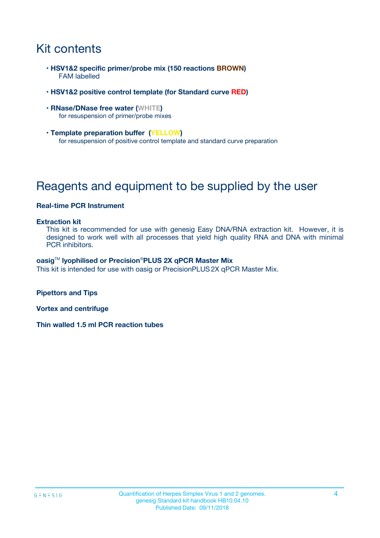# Kit contents

- **HSV1&2 specific primer/probe mix (150 reactions BROWN)** FAM labelled
- **HSV1&2 positive control template (for Standard curve RED)**
- **RNase/DNase free water (WHITE)** for resuspension of primer/probe mixes
- **Template preparation buffer (YELLOW)** for resuspension of positive control template and standard curve preparation

# Reagents and equipment to be supplied by the user

#### **Real-time PCR Instrument**

#### **Extraction kit**

This kit is recommended for use with genesig Easy DNA/RNA extraction kit. However, it is designed to work well with all processes that yield high quality RNA and DNA with minimal PCR inhibitors.

#### **oasig**TM **lyophilised or Precision**®**PLUS 2X qPCR Master Mix**

This kit is intended for use with oasig or PrecisionPLUS2X qPCR Master Mix.

**Pipettors and Tips**

**Vortex and centrifuge**

**Thin walled 1.5 ml PCR reaction tubes**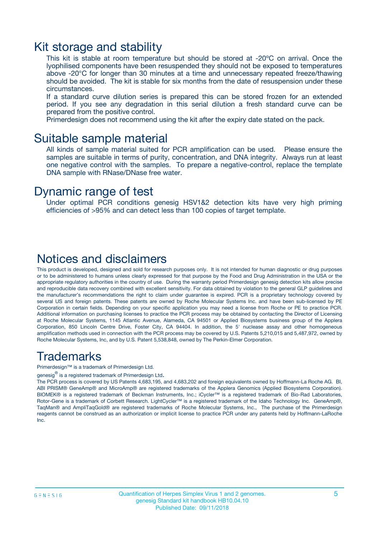### Kit storage and stability

This kit is stable at room temperature but should be stored at -20ºC on arrival. Once the lyophilised components have been resuspended they should not be exposed to temperatures above -20°C for longer than 30 minutes at a time and unnecessary repeated freeze/thawing should be avoided. The kit is stable for six months from the date of resuspension under these circumstances.

If a standard curve dilution series is prepared this can be stored frozen for an extended period. If you see any degradation in this serial dilution a fresh standard curve can be prepared from the positive control.

Primerdesign does not recommend using the kit after the expiry date stated on the pack.

### Suitable sample material

All kinds of sample material suited for PCR amplification can be used. Please ensure the samples are suitable in terms of purity, concentration, and DNA integrity. Always run at least one negative control with the samples. To prepare a negative-control, replace the template DNA sample with RNase/DNase free water.

### Dynamic range of test

Under optimal PCR conditions genesig HSV1&2 detection kits have very high priming efficiencies of >95% and can detect less than 100 copies of target template.

### Notices and disclaimers

This product is developed, designed and sold for research purposes only. It is not intended for human diagnostic or drug purposes or to be administered to humans unless clearly expressed for that purpose by the Food and Drug Administration in the USA or the appropriate regulatory authorities in the country of use. During the warranty period Primerdesign genesig detection kits allow precise and reproducible data recovery combined with excellent sensitivity. For data obtained by violation to the general GLP guidelines and the manufacturer's recommendations the right to claim under guarantee is expired. PCR is a proprietary technology covered by several US and foreign patents. These patents are owned by Roche Molecular Systems Inc. and have been sub-licensed by PE Corporation in certain fields. Depending on your specific application you may need a license from Roche or PE to practice PCR. Additional information on purchasing licenses to practice the PCR process may be obtained by contacting the Director of Licensing at Roche Molecular Systems, 1145 Atlantic Avenue, Alameda, CA 94501 or Applied Biosystems business group of the Applera Corporation, 850 Lincoln Centre Drive, Foster City, CA 94404. In addition, the 5' nuclease assay and other homogeneous amplification methods used in connection with the PCR process may be covered by U.S. Patents 5,210,015 and 5,487,972, owned by Roche Molecular Systems, Inc, and by U.S. Patent 5,538,848, owned by The Perkin-Elmer Corporation.

### Trademarks

Primerdesign™ is a trademark of Primerdesign Ltd.

genesig $^\circledR$  is a registered trademark of Primerdesign Ltd.

The PCR process is covered by US Patents 4,683,195, and 4,683,202 and foreign equivalents owned by Hoffmann-La Roche AG. BI, ABI PRISM® GeneAmp® and MicroAmp® are registered trademarks of the Applera Genomics (Applied Biosystems Corporation). BIOMEK® is a registered trademark of Beckman Instruments, Inc.; iCycler™ is a registered trademark of Bio-Rad Laboratories, Rotor-Gene is a trademark of Corbett Research. LightCycler™ is a registered trademark of the Idaho Technology Inc. GeneAmp®, TaqMan® and AmpliTaqGold® are registered trademarks of Roche Molecular Systems, Inc., The purchase of the Primerdesign reagents cannot be construed as an authorization or implicit license to practice PCR under any patents held by Hoffmann-LaRoche Inc.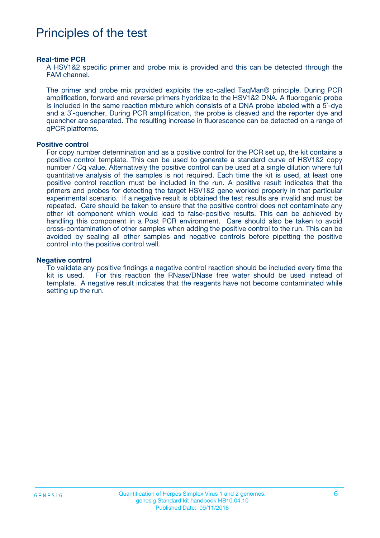# Principles of the test

#### **Real-time PCR**

A HSV1&2 specific primer and probe mix is provided and this can be detected through the FAM channel.

The primer and probe mix provided exploits the so-called TaqMan® principle. During PCR amplification, forward and reverse primers hybridize to the HSV1&2 DNA. A fluorogenic probe is included in the same reaction mixture which consists of a DNA probe labeled with a 5`-dye and a 3`-quencher. During PCR amplification, the probe is cleaved and the reporter dye and quencher are separated. The resulting increase in fluorescence can be detected on a range of qPCR platforms.

#### **Positive control**

For copy number determination and as a positive control for the PCR set up, the kit contains a positive control template. This can be used to generate a standard curve of HSV1&2 copy number / Cq value. Alternatively the positive control can be used at a single dilution where full quantitative analysis of the samples is not required. Each time the kit is used, at least one positive control reaction must be included in the run. A positive result indicates that the primers and probes for detecting the target HSV1&2 gene worked properly in that particular experimental scenario. If a negative result is obtained the test results are invalid and must be repeated. Care should be taken to ensure that the positive control does not contaminate any other kit component which would lead to false-positive results. This can be achieved by handling this component in a Post PCR environment. Care should also be taken to avoid cross-contamination of other samples when adding the positive control to the run. This can be avoided by sealing all other samples and negative controls before pipetting the positive control into the positive control well.

#### **Negative control**

To validate any positive findings a negative control reaction should be included every time the kit is used. For this reaction the RNase/DNase free water should be used instead of template. A negative result indicates that the reagents have not become contaminated while setting up the run.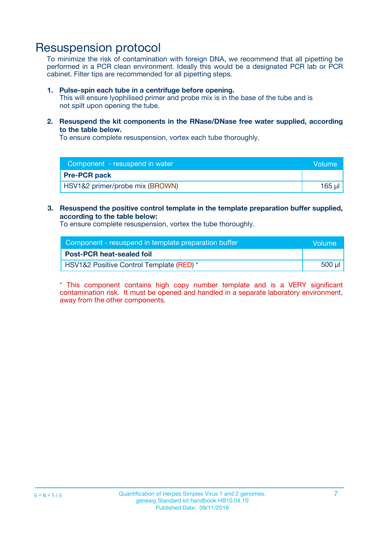## Resuspension protocol

To minimize the risk of contamination with foreign DNA, we recommend that all pipetting be performed in a PCR clean environment. Ideally this would be a designated PCR lab or PCR cabinet. Filter tips are recommended for all pipetting steps.

#### **1. Pulse-spin each tube in a centrifuge before opening.**

This will ensure lyophilised primer and probe mix is in the base of the tube and is not spilt upon opening the tube.

**2. Resuspend the kit components in the RNase/DNase free water supplied, according to the table below.**

To ensure complete resuspension, vortex each tube thoroughly.

| Component - resuspend in water<br>Volume   |        |
|--------------------------------------------|--------|
| <b>Pre-PCR pack</b>                        |        |
| <b>HSV1&amp;2 primer/probe mix (BROWN)</b> | 165 ul |

### **3. Resuspend the positive control template in the template preparation buffer supplied, according to the table below:**

To ensure complete resuspension, vortex the tube thoroughly.

| Component - resuspend in template preparation buffer |        |  |
|------------------------------------------------------|--------|--|
| <b>Post-PCR heat-sealed foil</b>                     |        |  |
| HSV1&2 Positive Control Template (RED) *             | 500 µl |  |

\* This component contains high copy number template and is a VERY significant contamination risk. It must be opened and handled in a separate laboratory environment, away from the other components.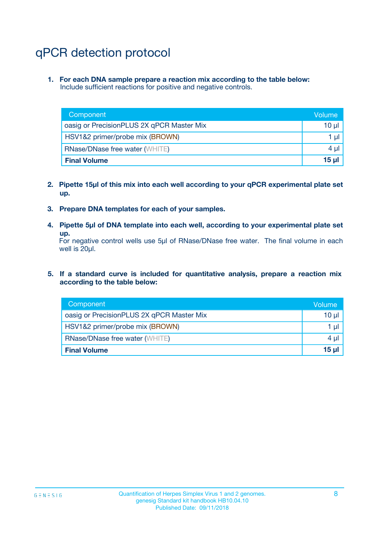# qPCR detection protocol

**1. For each DNA sample prepare a reaction mix according to the table below:** Include sufficient reactions for positive and negative controls.

| Component                                 | Volume           |
|-------------------------------------------|------------------|
| oasig or PrecisionPLUS 2X qPCR Master Mix | 10 $\mu$         |
| HSV1&2 primer/probe mix (BROWN)           | 1 $\mu$          |
| <b>RNase/DNase free water (WHITE)</b>     | $4 \mu$          |
| <b>Final Volume</b>                       | 15 <sub>ul</sub> |

- **2. Pipette 15µl of this mix into each well according to your qPCR experimental plate set up.**
- **3. Prepare DNA templates for each of your samples.**
- **4. Pipette 5µl of DNA template into each well, according to your experimental plate set up.**

For negative control wells use 5µl of RNase/DNase free water. The final volume in each well is 20µl.

**5. If a standard curve is included for quantitative analysis, prepare a reaction mix according to the table below:**

| Component                                 | Volume          |
|-------------------------------------------|-----------------|
| oasig or PrecisionPLUS 2X qPCR Master Mix | 10 µl           |
| HSV1&2 primer/probe mix (BROWN)           | 1 µI            |
| <b>RNase/DNase free water (WHITE)</b>     | $4 \mu$         |
| <b>Final Volume</b>                       | 15 <sub>µ</sub> |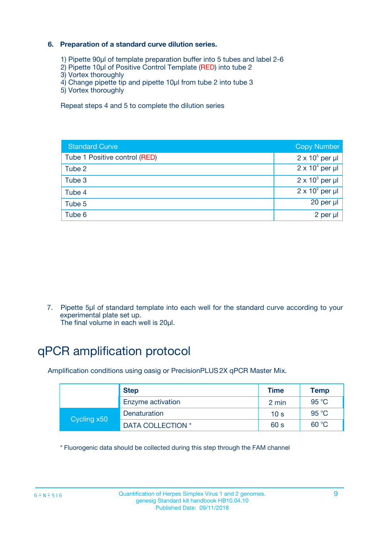### **6. Preparation of a standard curve dilution series.**

- 1) Pipette 90µl of template preparation buffer into 5 tubes and label 2-6
- 2) Pipette 10µl of Positive Control Template (RED) into tube 2
- 3) Vortex thoroughly
- 4) Change pipette tip and pipette 10µl from tube 2 into tube 3
- 5) Vortex thoroughly

Repeat steps 4 and 5 to complete the dilution series

| <b>Standard Curve</b>         | <b>Copy Number</b>     |
|-------------------------------|------------------------|
| Tube 1 Positive control (RED) | $2 \times 10^5$ per µl |
| Tube 2                        | $2 \times 10^4$ per µl |
| Tube 3                        | $2 \times 10^3$ per µl |
| Tube 4                        | $2 \times 10^2$ per µl |
| Tube 5                        | 20 per µl              |
| Tube 6                        | 2 per ul               |

7. Pipette 5µl of standard template into each well for the standard curve according to your experimental plate set up.

The final volume in each well is 20µl.

# qPCR amplification protocol

Amplification conditions using oasig or PrecisionPLUS2X qPCR Master Mix.

|             | <b>Step</b>       | <b>Time</b>     | Temp    |
|-------------|-------------------|-----------------|---------|
|             | Enzyme activation | 2 min           | 95 °C   |
| Cycling x50 | Denaturation      | 10 <sub>s</sub> | 95 $°C$ |
|             | DATA COLLECTION * | 60 s            | 60 °C   |

\* Fluorogenic data should be collected during this step through the FAM channel